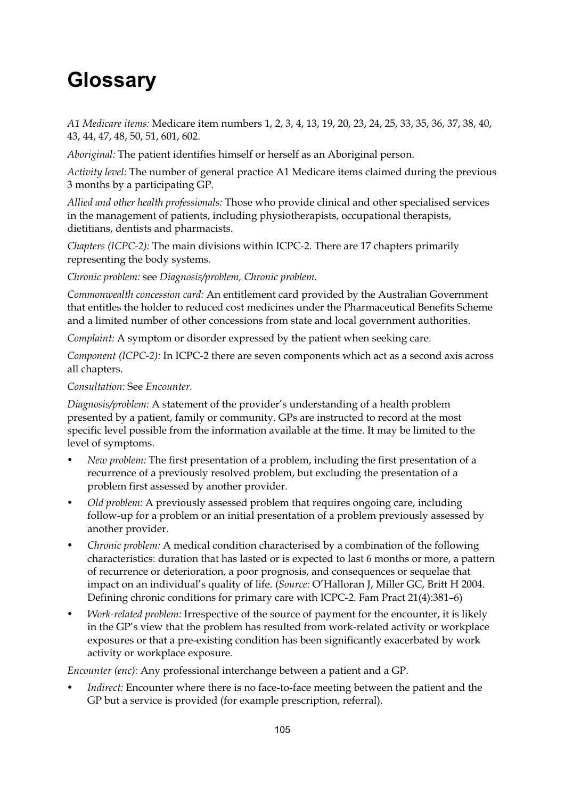## **Glossary**

*A1 Medicare items:* Medicare item numbers 1, 2, 3, 4, 13, 19, 20, 23, 24, 25, 33, 35, 36, 37, 38, 40, 43, 44, 47, 48, 50, 51, 601, 602.

*Aboriginal:* The patient identifies himself or herself as an Aboriginal person.

*Activity level:* The number of general practice A1 Medicare items claimed during the previous 3 months by a participating GP.

*Allied and other health professionals:* Those who provide clinical and other specialised services in the management of patients, including physiotherapists, occupational therapists, dietitians, dentists and pharmacists.

*Chapters (ICPC-2):* The main divisions within ICPC-2. There are 17 chapters primarily representing the body systems.

*Chronic problem:* see *Diagnosis/problem, Chronic problem.*

*Commonwealth concession card:* An entitlement card provided by the Australian Government that entitles the holder to reduced cost medicines under the Pharmaceutical Benefits Scheme and a limited number of other concessions from state and local government authorities.

*Complaint:* A symptom or disorder expressed by the patient when seeking care.

*Component (ICPC-2):* In ICPC-2 there are seven components which act as a second axis across all chapters.

## *Consultation:* See *Encounter.*

*Diagnosis/problem:* A statement of the provider's understanding of a health problem presented by a patient, family or community. GPs are instructed to record at the most specific level possible from the information available at the time. It may be limited to the level of symptoms.

- *New problem:* The first presentation of a problem, including the first presentation of a recurrence of a previously resolved problem, but excluding the presentation of a problem first assessed by another provider.
- *Old problem:* A previously assessed problem that requires ongoing care, including follow-up for a problem or an initial presentation of a problem previously assessed by another provider.
- *Chronic problem:* A medical condition characterised by a combination of the following characteristics: duration that has lasted or is expected to last 6 months or more, a pattern of recurrence or deterioration, a poor prognosis, and consequences or sequelae that impact on an individual's quality of life. (*Source:* O'Halloran J, Miller GC, Britt H 2004. Defining chronic conditions for primary care with ICPC-2. Fam Pract 21(4):381–6)
- *Work-related problem:* Irrespective of the source of payment for the encounter, it is likely in the GP's view that the problem has resulted from work-related activity or workplace exposures or that a pre-existing condition has been significantly exacerbated by work activity or workplace exposure.

*Encounter (enc):* Any professional interchange between a patient and a GP.

*Indirect:* Encounter where there is no face-to-face meeting between the patient and the GP but a service is provided (for example prescription, referral).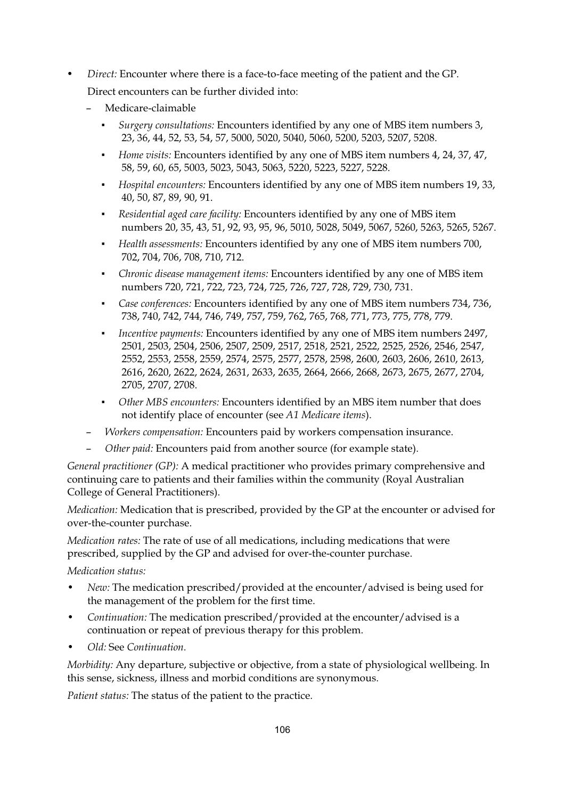- *Direct:* Encounter where there is a face-to-face meeting of the patient and the GP. Direct encounters can be further divided into:
	- Medicare-claimable
		- - *Surgery consultations:* Encounters identified by any one of MBS item numbers 3, 23, 36, 44, 52, 53, 54, 57, 5000, 5020, 5040, 5060, 5200, 5203, 5207, 5208.
		- - *Home visits:* Encounters identified by any one of MBS item numbers 4, 24, 37, 47, 58, 59, 60, 65, 5003, 5023, 5043, 5063, 5220, 5223, 5227, 5228.
		- - *Hospital encounters:* Encounters identified by any one of MBS item numbers 19, 33, 40, 50, 87, 89, 90, 91.
		- - *Residential aged care facility:* Encounters identified by any one of MBS item numbers 20, 35, 43, 51, 92, 93, 95, 96, 5010, 5028, 5049, 5067, 5260, 5263, 5265, 5267.
		- - *Health assessments:* Encounters identified by any one of MBS item numbers 700, 702, 704, 706, 708, 710, 712.
		- - *Chronic disease management items:* Encounters identified by any one of MBS item numbers 720, 721, 722, 723, 724, 725, 726, 727, 728, 729, 730, 731.
		- - *Case conferences:* Encounters identified by any one of MBS item numbers 734, 736, 738, 740, 742, 744, 746, 749, 757, 759, 762, 765, 768, 771, 773, 775, 778, 779.
		- - *Incentive payments:* Encounters identified by any one of MBS item numbers 2497, 2501, 2503, 2504, 2506, 2507, 2509, 2517, 2518, 2521, 2522, 2525, 2526, 2546, 2547, 2552, 2553, 2558, 2559, 2574, 2575, 2577, 2578, 2598, 2600, 2603, 2606, 2610, 2613, 2616, 2620, 2622, 2624, 2631, 2633, 2635, 2664, 2666, 2668, 2673, 2675, 2677, 2704, 2705, 2707, 2708.
		- - *Other MBS encounters:* Encounters identified by an MBS item number that does not identify place of encounter (see *A1 Medicare items*).
	- *Workers compensation:* Encounters paid by workers compensation insurance.
	- *Other paid:* Encounters paid from another source (for example state).

*General practitioner (GP):* A medical practitioner who provides primary comprehensive and continuing care to patients and their families within the community (Royal Australian College of General Practitioners).

*Medication:* Medication that is prescribed, provided by the GP at the encounter or advised for over-the-counter purchase.

*Medication rates:* The rate of use of all medications, including medications that were prescribed, supplied by the GP and advised for over-the-counter purchase.

*Medication status:* 

- *New:* The medication prescribed/provided at the encounter/advised is being used for the management of the problem for the first time.
- *Continuation:* The medication prescribed/provided at the encounter/advised is a continuation or repeat of previous therapy for this problem.
- *Old:* See *Continuation.*

*Morbidity:* Any departure, subjective or objective, from a state of physiological wellbeing. In this sense, sickness, illness and morbid conditions are synonymous.

*Patient status:* The status of the patient to the practice.